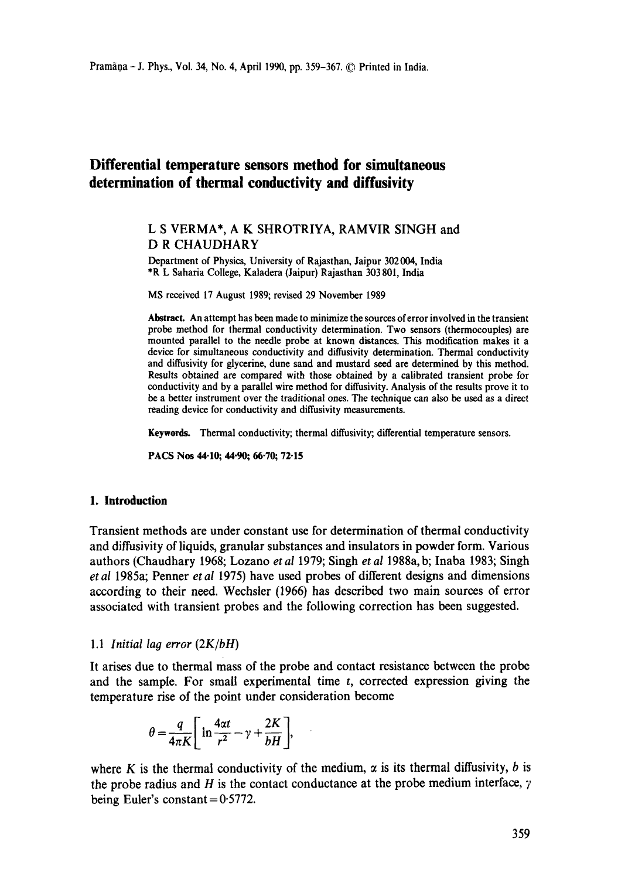# **Differential temperature sensors method for simultaneous determination of thermal conductivity and diffusivity**

# L S VERMA\*, A K SHROTRIYA, RAMVIR SINGH and D R CHAUDHARY

Department of Physics, University of Rajasthan, Jaipur 302004, India \*R L Saharia College, Kaladera (Jaipur) Rajasthan 303 801, India

MS received 17 August 1989; revised 29 November 1989

Abstract. An attempt has been made to minimize the sources of error involved in the transient probe method for thermal conductivity determination. Two sensors (thermocouples) are mounted parallel to the needle probe at known distances. This modification makes it a device for simultaneous conductivity and diffusivity determination. Thermal conductivity and diffusivity for glycerine, dune sand and mustard seed are determined by this method. Results obtained are compared with those obtained by a *calibrated* transient probe for conductivity and by a parallel wire method for diffusivity. Analysis of the results prove it to be a better instrument over the traditional ones. The technique can also be used as a direct reading device for conductivity and diffusivity measurements.

Keywords. Thermal conductivity; thermal diffusivity; differential temperature sensors.

PACS Nos 44-10; 44-90; 66-70; 72-15

# **1. Introduction**

Transient methods are under constant use for determination of thermal conductivity and diffusivity of liquids, granular substances and insulators in powder form. Various authors (Chaudhary 1968; Lozano *et al* 1979; Singh *et al* 1988a, b; Inaba 1983; Singh *et al* 1985a; Penner *et al* 1975) have used probes of different designs and dimensions according to their need. Wechsler (1966) has described two main sources of error associated with transient probes and the following correction has been suggested.

# 1.1 *Initial lag error (2K/bH)*

It arises due to thermal mass of the probe and contact resistance between the probe and the sample. For small experimental time  $t$ , corrected expression giving the temperature rise of the point under consideration become

$$
\theta = \frac{q}{4\pi K} \left[ \ln \frac{4\alpha t}{r^2} - \gamma + \frac{2K}{bH} \right],
$$

where K is the thermal conductivity of the medium,  $\alpha$  is its thermal diffusivity, b is the probe radius and H is the contact conductance at the probe medium interface,  $\gamma$ being Euler's constant  $= 0.5772$ .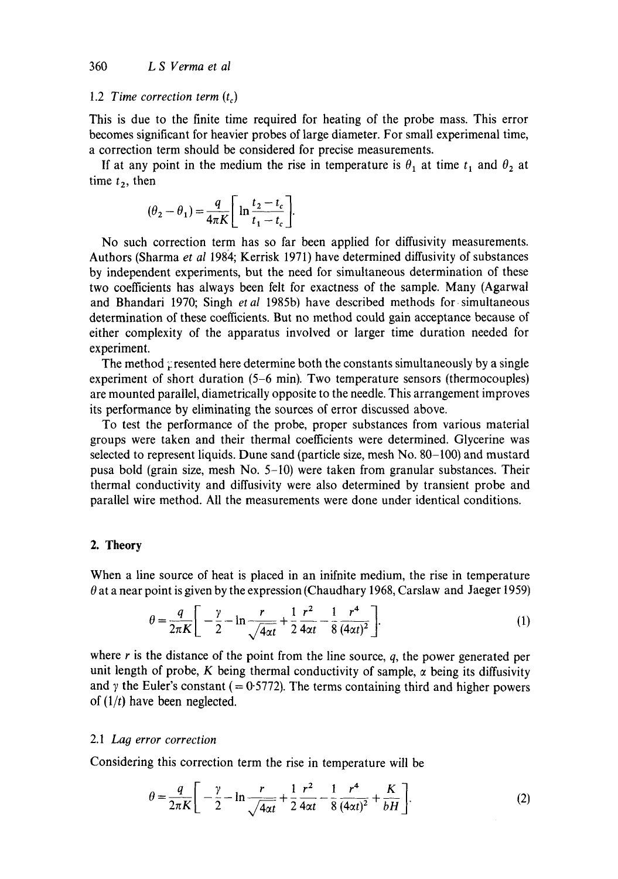### 1.2 *Time correction term*  $(t<sub>c</sub>)$

This is due to the finite time required for heating of the probe mass. This error becomes significant for heavier probes of large diameter. For small experimenal time, a correction term should be considered for precise measurements.

If at any point in the medium the rise in temperature is  $\theta_1$  at time  $t_1$  and  $\theta_2$  at time  $t_2$ , then

$$
(\theta_2 - \theta_1) = \frac{q}{4\pi K} \left[ \ln \frac{t_2 - t_c}{t_1 - t_c} \right].
$$

No such correction term has so far been applied for diffusivity measurements. Authors (Sharma *et al* 1984; Kerrisk 1971) have determined diffusivity of substances by independent experiments, but the need for simultaneous determination of these two coefficients has always been felt for exactness of the sample. Many (Agarwal and Bhandari 1970; Singh *etal* 1985b) have described methods for.simultaneous determination of these coefficients. But no method could gain acceptance because of either complexity of the apparatus involved or larger time duration needed for experiment.

The method  $\epsilon$  resented here determine both the constants simultaneously by a single experiment of short duration (5-6 min). Two temperature sensors (thermocouples) are mounted parallel, diametrically opposite to the needle. This arrangement improves its performance by eliminating the sources of error discussed above.

To test the performance of the probe, proper substances from various material groups were taken and their thermal coefficients were determined. Glycerine was selected to represent liquids. Dune sand (particle size, mesh No. 80-100) and mustard pusa bold (grain size, mesh No. 5-10) were taken from granular substances. Their thermal conductivity and diffusivity were also determined by transient probe and parallel wire method. All the measurements were done under identical conditions.

# 2. **Theory**

When a line source of heat is placed in an inifnite medium, the rise in temperature  $\theta$  at a near point is given by the expression (Chaudhary 1968, Carslaw and Jaeger 1959)

$$
\theta = \frac{q}{2\pi K} \left[ -\frac{\gamma}{2} - \ln \frac{r}{\sqrt{4\alpha t}} + \frac{1}{2} \frac{r^2}{4\alpha t} - \frac{1}{8} \frac{r^4}{(4\alpha t)^2} \right].
$$
 (1)

where  $r$  is the distance of the point from the line source,  $q$ , the power generated per unit length of probe,  $K$  being thermal conductivity of sample,  $\alpha$  being its diffusivity and  $\gamma$  the Euler's constant (= 0.5772). The terms containing third and higher powers of  $(1/t)$  have been neglected.

## 2.1 *Lag error correction*

Considering this correction term the rise in temperature will be

$$
\theta = \frac{q}{2\pi K} \left[ -\frac{\gamma}{2} - \ln \frac{r}{\sqrt{4\alpha t}} + \frac{1}{2} \frac{r^2}{4\alpha t} - \frac{1}{8} \frac{r^4}{(4\alpha t)^2} + \frac{K}{bH} \right].
$$
 (2)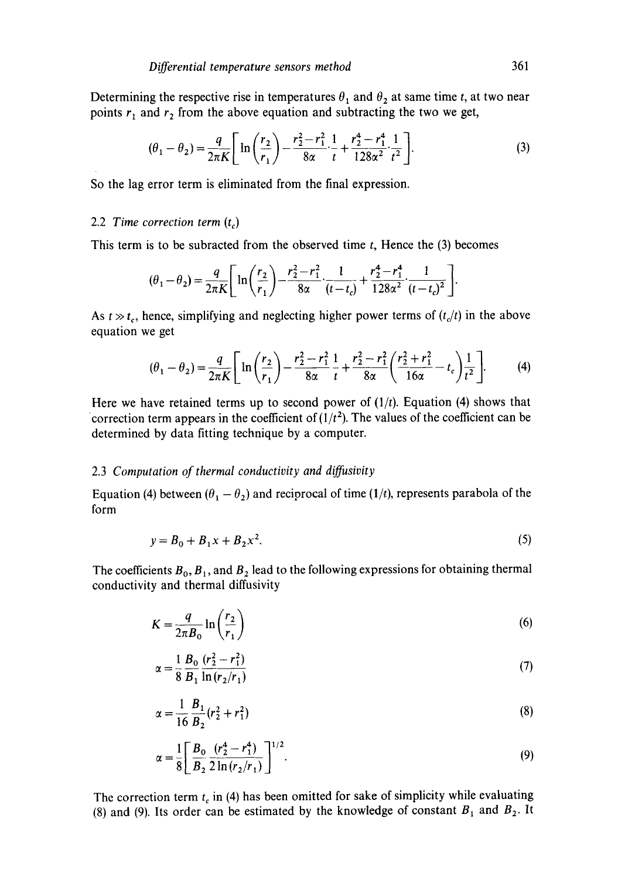Determining the respective rise in temperatures  $\theta_1$  and  $\theta_2$  at same time t, at two near points  $r_1$  and  $r_2$  from the above equation and subtracting the two we get,

$$
(\theta_1 - \theta_2) = \frac{q}{2\pi K} \left[ \ln \left( \frac{r_2}{r_1} \right) - \frac{r_2^2 - r_1^2}{8\alpha} \cdot \frac{1}{t} + \frac{r_2^4 - r_1^4}{128\alpha^2} \cdot \frac{1}{t^2} \right].
$$
 (3)

So the lag error term is eliminated from the final expression.

## 2.2 *Time correction term*  $(t_c)$

This term is to be subracted from the observed time  $t$ , Hence the  $(3)$  becomes

$$
(\theta_1 - \theta_2) = \frac{q}{2\pi K} \left[ \ln \left( \frac{r_2}{r_1} \right) - \frac{r_2^2 - r_1^2}{8\alpha} \cdot \frac{1}{(t - t_c)} + \frac{r_2^4 - r_1^4}{128\alpha^2} \cdot \frac{1}{(t - t_c)^2} \right].
$$

As  $t \gg t_c$ , hence, simplifying and neglecting higher power terms of  $(t_c/t)$  in the above equation we get

$$
(\theta_1 - \theta_2) = \frac{q}{2\pi K} \left[ \ln \left( \frac{r_2}{r_1} \right) - \frac{r_2^2 - r_1^2}{8\alpha} \frac{1}{t} + \frac{r_2^2 - r_1^2}{8\alpha} \left( \frac{r_2^2 + r_1^2}{16\alpha} - t_c \right) \frac{1}{t^2} \right].
$$
 (4)

Here we have retained terms up to second power of  $(1/t)$ . Equation (4) shows that correction term appears in the coefficient of  $(1/t^2)$ . The values of the coefficient can be determined by data fitting technique by a computer.

## 2.3 *Computation of thermal conductivity and diffusivity*

Equation (4) between  $(\theta_1 - \theta_2)$  and reciprocal of time (1/t), represents parabola of the form

$$
y = B_0 + B_1 x + B_2 x^2. \tag{5}
$$

The coefficients  $B_0$ ,  $B_1$ , and  $B_2$  lead to the following expressions for obtaining thermal conductivity and thermal diffusivity

$$
K = \frac{q}{2\pi B_0} \ln\left(\frac{r_2}{r_1}\right) \tag{6}
$$

$$
\alpha = \frac{1}{8} \frac{B_0}{B_1} \frac{(r_2^2 - r_1^2)}{\ln(r_2/r_1)}\tag{7}
$$

$$
\alpha = \frac{1}{16} \frac{B_1}{B_2} (r_2^2 + r_1^2) \tag{8}
$$

$$
\alpha = \frac{1}{8} \left[ \frac{B_0}{B_2} \frac{(r_2^4 - r_1^4)}{2 \ln(r_2/r_1)} \right]^{1/2}.
$$
\n(9)

The correction term  $t_c$  in (4) has been omitted for sake of simplicity while evaluating (8) and (9). Its order can be estimated by the knowledge of constant  $B_1$  and  $B_2$ . It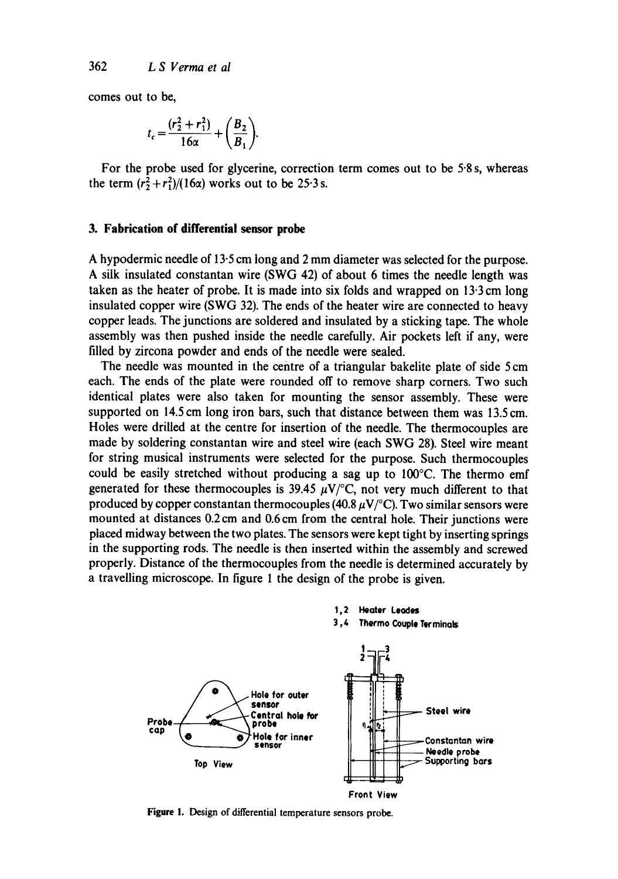comes out to be,

$$
t_c = \frac{(r_2^2 + r_1^2)}{16\alpha} + \left(\frac{B_2}{B_1}\right).
$$

For the probe used for glycerine, correction term comes out to be 5-8 s, whereas the term  $(r_2^2 + r_1^2)/(16\alpha)$  works out to be 25.3 s.

## **3. Fabrication of differential sensor probe**

A hypodermic needle of 13.5 cm long and 2 mm diameter was selected for the purpose. A silk insulated constantan wire (SWG 42) of about 6 times the needle length was taken as the heater of probe. It is made into six folds and wrapped on 13.3cm long insulated copper wire (SWG 32). The ends of the heater wire are connected to heavy copper leads. The junctions are soldered and insulated by a sticking tape. The whole assembly was then pushed inside the needle carefully. Air pockets left if any, were filled by zircona powder and ends of the needle were sealed.

The needle was mounted in the centre of a triangular bakelite plate of side 5 cm each. The ends of the plate were rounded off to remove sharp corners. Two such identical plates were also taken for mounting the sensor assembly. These were supported on 14.5 cm long iron bars, such that distance between them was 13.5 cm. Holes were drilled at the centre for insertion of the needle. The thermocouples are made by soldering constantan wire and steel wire (each SWG 28). Steel wire meant for string musical instruments were selected for the purpose. Such thermocouples could be easily stretched without producing a sag up to 100°C. The thermo emf generated for these thermocouples is 39.45  $\mu$ V/ $\degree$ C, not very much different to that produced by copper constantan thermocouples (40.8  $\mu$ V/°C). Two similar sensors were mounted at distances 0.2 cm and 0.6 cm from the central hole. Their junctions were placed midway between the two plates. The sensors were kept tight by inserting springs in the supporting rods. The needle is then inserted within the assembly and screwed properly. Distance of the thermocouples from the needle is determined accurately by a travelling microscope. In figure 1 the design of the probe is given.



**Figure !.** Design of differentia] temperature sensors probe.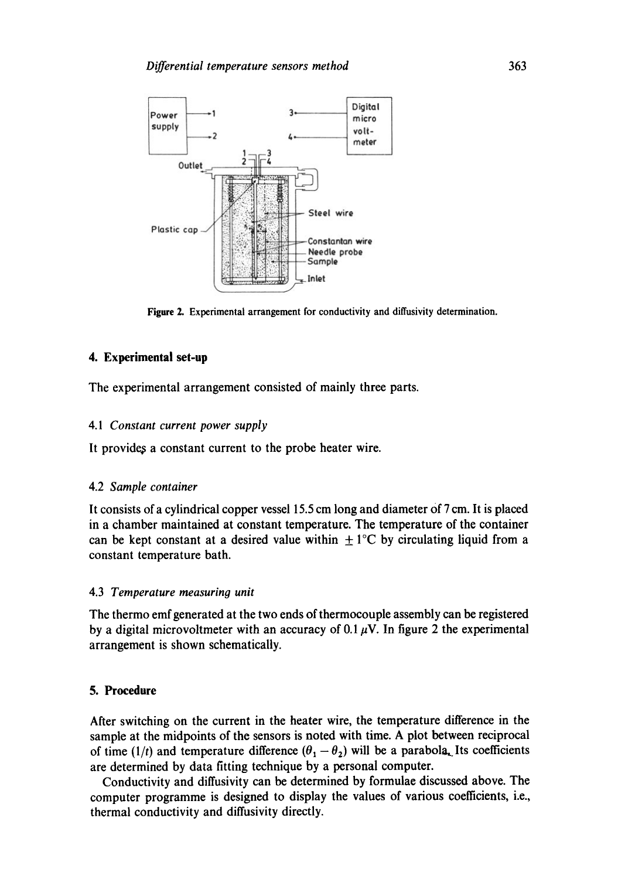

**Figure** 2. Experimental arrangement for conductivity and diffusivity determination.

#### **4. Experimental set-up**

The experimental arrangement consisted of mainly three parts.

#### *4.1 Constant current power supply*

It provides a constant current to the probe heater wire.

## 4.2 *Sample container*

It consists of a cylindrical copper vessel 15.5 cm long and diameter Of 7 cm. It is placed in a chamber maintained at constant temperature. The temperature of the container can be kept constant at a desired value within  $\pm 1$ °C by circulating liquid from a constant temperature bath.

### 4.3 *Temperature measuring unit*

The thermo emf generated at the two ends of thermocouple assembly can be registered by a digital microvoltmeter with an accuracy of 0.1  $\mu$ V. In figure 2 the experimental arrangement is shown schematically.

## **5. Procedure**

After switching on the current in the heater wire, the temperature difterence in the sample at the midpoints of the sensors is noted with time. A plot between reciprocal of time (1/t) and temperature difference  $(\theta_1 - \theta_2)$  will be a parabola<sub>r</sub> Its coefficients are determined by data fitting technique by a personal computer.

Conductivity and diffusivity can be determined by formulae discussed above. The computer programme is designed to display the values of various coefficients, i.e., thermal conductivity and diffusivity directly.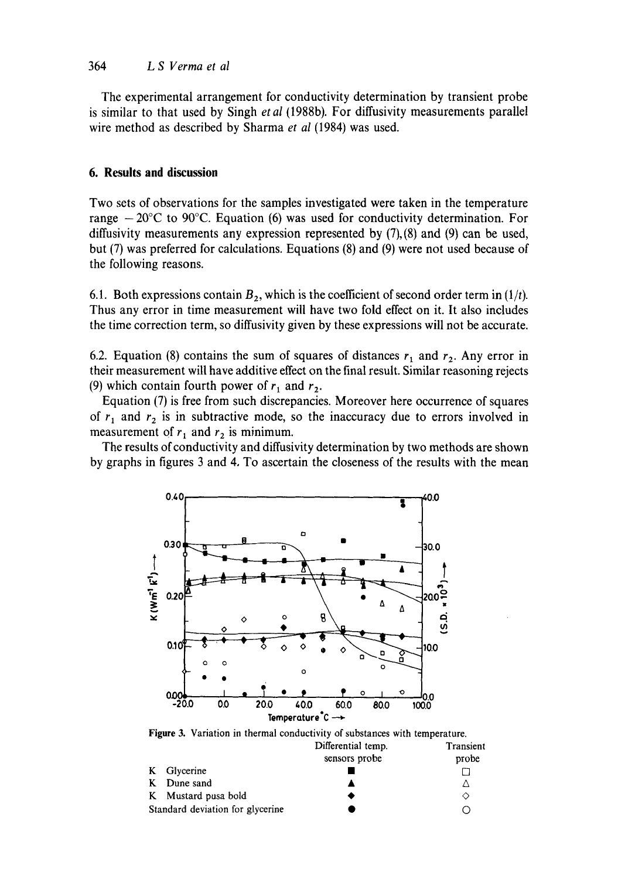## 364 *L S Verma et al*

The experimental arrangement for conductivity determination by transient probe is similar to that used by Singh *et al* (1988b). For diffusivity measurements parallel wire method as described by Sharma *et al* (1984) was used.

# **6. Results and discussion**

Two sets of observations for the samples investigated were taken in the temperature range  $-20^{\circ}$ C to 90<sup>°</sup>C. Equation (6) was used for conductivity determination. For diffusivity measurements any expression represented by (7),(8) and (9) can be used, but (7) was preferred for calculations. Equations (8) and (9) were not used because of the following reasons.

6.1. Both expressions contain  $B_2$ , which is the coefficient of second order term in (1/t). Thus any error in time measurement will have two fold effect on it. It also includes the time correction term, so diffusivity given by these expressions will not be accurate.

6.2. Equation (8) contains the sum of squares of distances  $r_1$  and  $r_2$ . Any error in their measurement will have additive effect on the final result. Similar reasoning rejects (9) which contain fourth power of  $r_1$  and  $r_2$ .

Equation (7) is free from such discrepancies. Moreover here occurrence of squares of  $r_1$  and  $r_2$  is in subtractive mode, so the inaccuracy due to errors involved in measurement of  $r_1$  and  $r_2$  is minimum.

The results of conductivity and diffusivity determination by two methods are shown by graphs in figures 3 and 4, To ascertain the closeness of the results with the mean



|                                  |                     | Differential temp.<br>sensors probe | Transient<br>probe |
|----------------------------------|---------------------|-------------------------------------|--------------------|
|                                  | K Glycerine         |                                     |                    |
| K                                | Dune sand           |                                     |                    |
|                                  | K Mustard pusa bold |                                     |                    |
| Standard deviation for glycerine |                     |                                     |                    |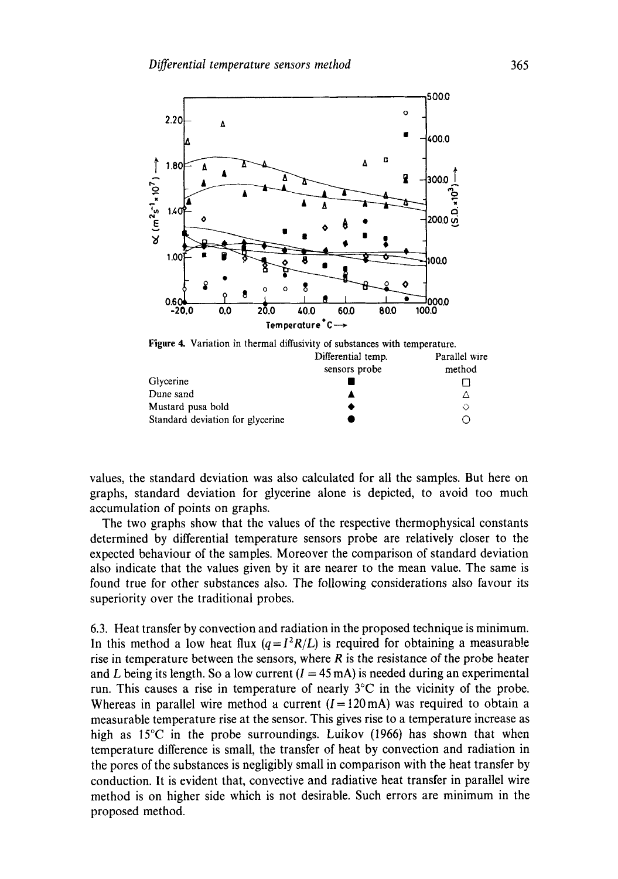

Figure 4. Variation in thermal diffusivity of substances with temperature.

|                                  | Differential temp.<br>sensors probe | Parallel wire<br>method |
|----------------------------------|-------------------------------------|-------------------------|
|                                  |                                     |                         |
| Glycerine                        |                                     |                         |
| Dune sand                        |                                     |                         |
| Mustard pusa bold                |                                     | ◇                       |
| Standard deviation for glycerine |                                     |                         |

values, the standard deviation was also calculated for all the samples. But here on graphs, standard deviation for glycerine alone is depicted, to avoid too much accumulation of points on graphs.

The two graphs show that the values of the respective thermophysical constants determined by differential temperature sensors probe are relatively closer to the expected behaviour of the samples. Moreover the comparison of standard deviation also indicate that the values given by it are nearer to the mean value. The same is found true for other substances also. The following considerations also favour its superiority over the traditional probes.

6.3. Heat transfer by convection and radiation in the proposed technique is minimum. In this method a low heat flux  $(q = I^2 R/L)$  is required for obtaining a measurable rise in temperature between the sensors, where  $R$  is the resistance of the probe heater and L being its length. So a low current  $(I = 45 \text{ mA})$  is needed during an experimental run. This causes a rise in temperature of nearly 3°C in the vicinity of the probe. Whereas in parallel wire method a current  $(I=120 \text{ mA})$  was required to obtain a measurable temperature rise at the sensor. This gives rise to a temperature increase as high as 15°C in the probe surroundings. Luikov (1966) has shown that when temperature difference is small, the transfer of heat by convection and radiation in the pores of the substances is negligibly small in comparison with the heat transfer by conduction. It is evident that, convective and radiative heat transfer in parallel wire method is on higher side which is not desirable. Such errors are minimum in the proposed method.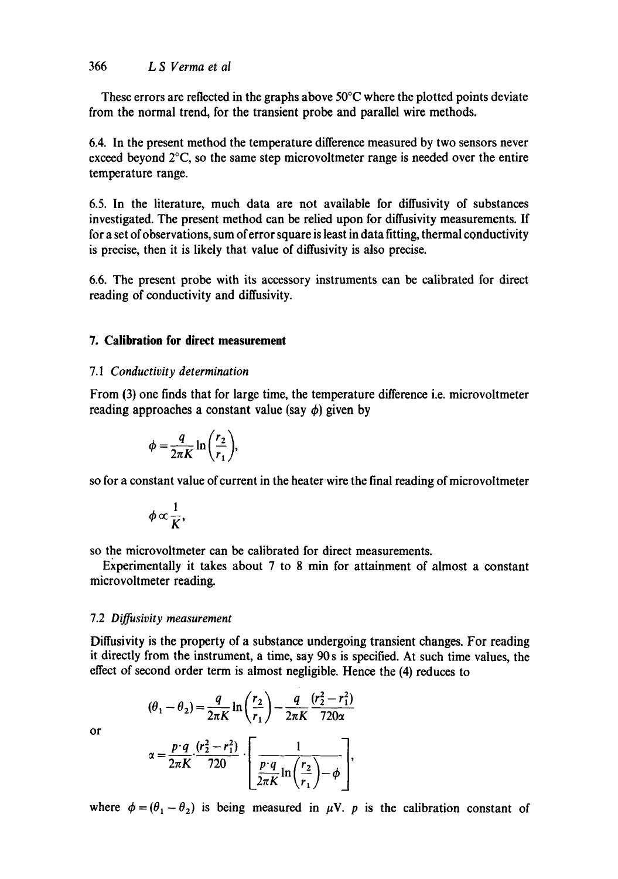# 366 *L S Verma et al*

These errors are reflected in the graphs above 50°C where the plotted points deviate from the normal trend, for the transient probe and parallel wire methods.

6.4. In the present method the temperature difference measured by two sensors never exceed beyond  $2^{\circ}$ C, so the same step microvoltmeter range is needed over the entire temperature range.

6.5. In the literature, much data are not available for diffusivity of substances investigated. The present method can be relied upon for diffusivity measurements. If for a set of observations, sum of error square is least in data fitting, thermal conductivity is precise, then it is likely that value of diffusivity is also precise.

6.6. The present probe with its accessory instruments can be calibrated for direct reading of conductivity and diffusivity.

# **7. Calibration for direct measurement**

# 7.1 *Conductivity determination*

From (3) one finds that for large time, the temperature difference i.e. microvoltmeter reading approaches a constant value (say  $\phi$ ) given by

$$
\phi = \frac{q}{2\pi K} \ln\left(\frac{r_2}{r_1}\right),\,
$$

so for a constant value of current in the heater wire the final reading of microvoltmeter

$$
\phi \propto \frac{1}{K},
$$

so the microvoltmeter can be calibrated for direct measurements.

Experimentally it takes about 7 to 8 min for attainment of almost a constant microvoltmeter reading.

# 7.2 *Diffusivity measurement*

Diffusivity is the property of a substance undergoing transient changes. For reading it directly from the instrument, a time, say 90 s is specified. At such time values, the effect of second order term is almost negligible. Hence the (4) reduces to

$$
(\theta_1 - \theta_2) = \frac{q}{2\pi K} \ln\left(\frac{r_2}{r_1}\right) - \frac{q}{2\pi K} \frac{(r_2^2 - r_1^2)}{720\alpha}
$$

or

$$
\alpha = \frac{p \cdot q}{2\pi K} \cdot \frac{(r_2^2 - r_1^2)}{720} \cdot \left[ \frac{1}{\frac{p \cdot q}{2\pi K} \ln\left(\frac{r_2}{r_1}\right) - \phi} \right],
$$

where  $\phi = (\theta_1 - \theta_2)$  is being measured in  $\mu V$ . p is the calibration constant of